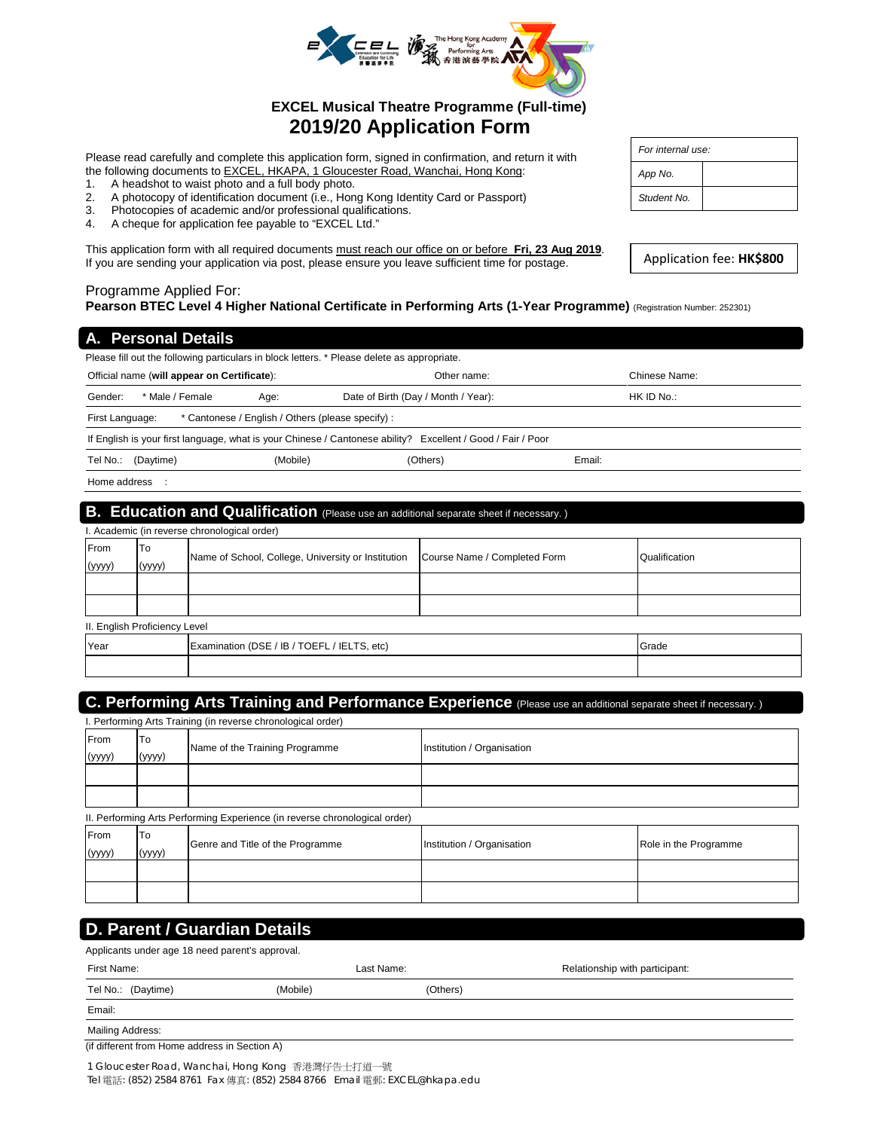

# **EXCEL Musical Theatre Programme (Full-time) 2019/20 Application Form**

Please read carefully and complete this application form, signed in confirmation, and return it with the following documents to **EXCEL, HKAPA, 1 Gloucester Road, Wanchai, Hong Kong:** 

- 1. A headshot to waist photo and a full body photo.<br>2. A photocopy of identification document (i.e., Hon
- 2. A photocopy of identification document (i.e., Hong Kong Identity Card or Passport)<br>3. Photocopies of academic and/or professional qualifications.
- Photocopies of academic and/or professional qualifications.
- 4. A cheque for application fee payable to "EXCEL Ltd."

This application form with all required documents must reach our office on or before **Fri, 23 Aug 2019**. If you are sending your application via post, please ensure you leave sufficient time for postage.

#### Programme Applied For: **Pearson BTEC Level 4 Higher National Certificate in Performing Arts (1-Year Programme)** (Registration Number: 252301)

| A. Personal Details                                                                         |                                                                                                             |               |  |  |
|---------------------------------------------------------------------------------------------|-------------------------------------------------------------------------------------------------------------|---------------|--|--|
| Please fill out the following particulars in block letters. * Please delete as appropriate. |                                                                                                             |               |  |  |
| Official name (will appear on Certificate):                                                 | Other name:                                                                                                 | Chinese Name: |  |  |
| * Male / Female<br>Gender:<br>Age:                                                          | HK ID No.:<br>Date of Birth (Day / Month / Year):                                                           |               |  |  |
| * Cantonese / English / Others (please specify) :<br>First Language:                        |                                                                                                             |               |  |  |
|                                                                                             | If English is your first language, what is your Chinese / Cantonese ability? Excellent / Good / Fair / Poor |               |  |  |
| Tel No.:<br>(Mobile)<br>(Daytime)                                                           | (Others)                                                                                                    | Email:        |  |  |
| Home address :                                                                              |                                                                                                             |               |  |  |
| . .<br>.                                                                                    |                                                                                                             |               |  |  |

## **B. Education and Qualification** (Please use an additional separate sheet if necessary. ) . Academic (in reverse chronological order) From (yyyy) To (yyyy) Name of School, College, University or Institution Course Name / Completed Form Qualification

| II. English Proficiency Level |                                             |       |  |
|-------------------------------|---------------------------------------------|-------|--|
| Year                          | Examination (DSE / IB / TOEFL / IELTS, etc) | Grade |  |
|                               |                                             |       |  |

# **C. Performing Arts Training and Performance Experience** (Please use an additional separate sheet if necessary.)

| I. Performing Arts Training (in reverse chronological order) |              |                                                                            |                            |                       |
|--------------------------------------------------------------|--------------|----------------------------------------------------------------------------|----------------------------|-----------------------|
| From<br>(yyyy)                                               | To<br>(yyyy) | Name of the Training Programme                                             | Institution / Organisation |                       |
|                                                              |              |                                                                            |                            |                       |
|                                                              |              |                                                                            |                            |                       |
|                                                              |              | II. Performing Arts Performing Experience (in reverse chronological order) |                            |                       |
| From                                                         | To           | Genre and Title of the Programme                                           | Institution / Organisation | Role in the Programme |
| (yyyy)                                                       | (yyyy)       |                                                                            |                            |                       |
|                                                              |              |                                                                            |                            |                       |
|                                                              |              |                                                                            |                            |                       |

# **D. Parent / Guardian Details**

| Applicants under age 18 need parent's approval. |          |            |                                |  |
|-------------------------------------------------|----------|------------|--------------------------------|--|
| First Name:                                     |          | Last Name: | Relationship with participant: |  |
| Tel No.: (Daytime)                              | (Mobile) | (Others)   |                                |  |
| Email:                                          |          |            |                                |  |
| Mailing Address:                                |          |            |                                |  |

(if different from Home address in Section A)

1 Gloucester Road, Wanchai, Hong Kong 香港灣仔告士打道一號 Tel 電話: (852) 2584 8761 Fax 傳真: (852) 2584 8766 Email 電郵: EXCEL@hkapa.edu

| For internal use: |  |  |
|-------------------|--|--|
| App No.           |  |  |
| Student No.       |  |  |

| Application fee: HK\$800 |  |
|--------------------------|--|
|                          |  |